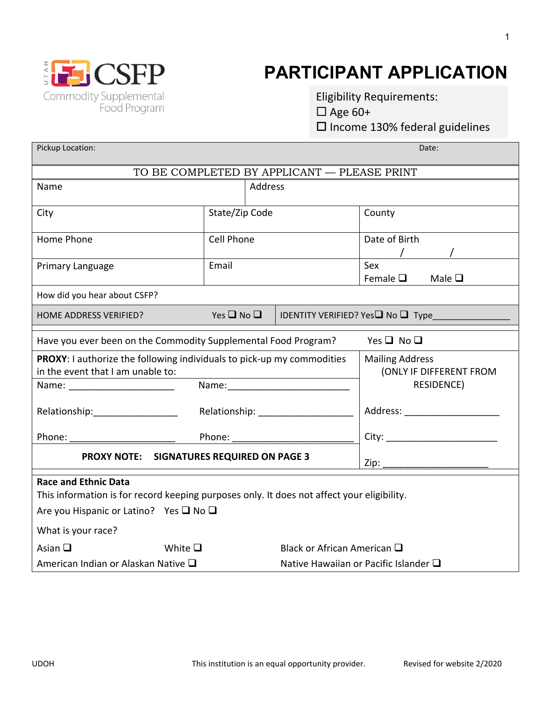

## **PARTICIPANT APPLICATION**

Eligibility Requirements:  $\Box$  Age 60+  $\square$  Income 130% federal guidelines

| Pickup Location:                                                                                            |                            |                                               |                                                   | Date:                                     |  |  |
|-------------------------------------------------------------------------------------------------------------|----------------------------|-----------------------------------------------|---------------------------------------------------|-------------------------------------------|--|--|
| TO BE COMPLETED BY APPLICANT - PLEASE PRINT                                                                 |                            |                                               |                                                   |                                           |  |  |
| Name                                                                                                        |                            | Address                                       |                                                   |                                           |  |  |
| City                                                                                                        |                            | State/Zip Code                                |                                                   | County                                    |  |  |
| Home Phone                                                                                                  |                            | Cell Phone                                    |                                                   | Date of Birth                             |  |  |
| Primary Language                                                                                            | Email                      |                                               |                                                   | Sex<br>Female $\Box$ Male $\Box$          |  |  |
| How did you hear about CSFP?                                                                                |                            |                                               |                                                   |                                           |  |  |
| HOME ADDRESS VERIFIED?                                                                                      | Yes $\square$ No $\square$ |                                               |                                                   | IDENTITY VERIFIED? Yes <b>□</b> No □ Type |  |  |
| Have you ever been on the Commodity Supplemental Food Program?                                              |                            |                                               |                                                   | Yes $\Box$ No $\Box$                      |  |  |
| PROXY: I authorize the following individuals to pick-up my commodities<br>in the event that I am unable to: |                            |                                               | <b>Mailing Address</b><br>(ONLY IF DIFFERENT FROM |                                           |  |  |
| Name: ________________________                                                                              |                            |                                               |                                                   | RESIDENCE)                                |  |  |
| Relationship:____________________                                                                           |                            |                                               |                                                   | Address: ________________________         |  |  |
|                                                                                                             |                            |                                               |                                                   | City: ___________________________         |  |  |
| PROXY NOTE: SIGNATURES REQUIRED ON PAGE 3                                                                   |                            |                                               |                                                   |                                           |  |  |
| <b>Race and Ethnic Data</b>                                                                                 |                            |                                               |                                                   |                                           |  |  |
| This information is for record keeping purposes only. It does not affect your eligibility.                  |                            |                                               |                                                   |                                           |  |  |
| Are you Hispanic or Latino? Yes □ No □                                                                      |                            |                                               |                                                   |                                           |  |  |
| What is your race?                                                                                          |                            |                                               |                                                   |                                           |  |  |
| Asian $\Box$                                                                                                | White $\square$            |                                               | Black or African American $\square$               |                                           |  |  |
| American Indian or Alaskan Native $\square$                                                                 |                            | Native Hawaiian or Pacific Islander $\square$ |                                                   |                                           |  |  |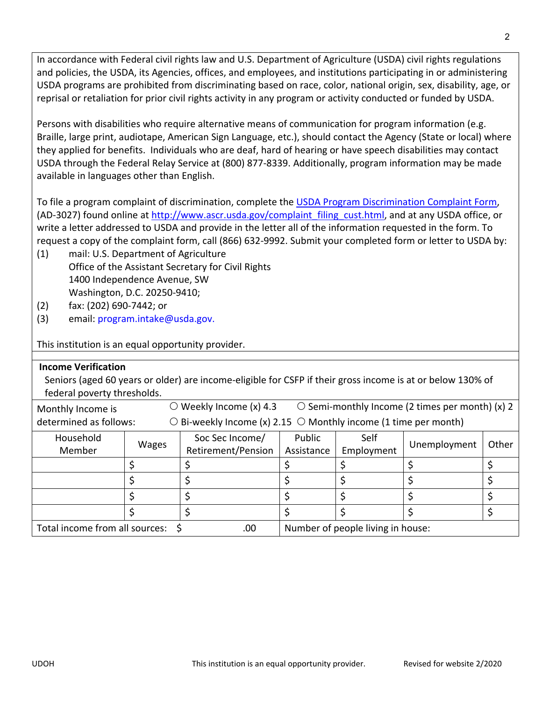In accordance with Federal civil rights law and U.S. Department of Agriculture (USDA) civil rights regulations and policies, the USDA, its Agencies, offices, and employees, and institutions participating in or administering USDA programs are prohibited from discriminating based on race, color, national origin, sex, disability, age, or reprisal or retaliation for prior civil rights activity in any program or activity conducted or funded by USDA.

Persons with disabilities who require alternative means of communication for program information (e.g. Braille, large print, audiotape, American Sign Language, etc.), should contact the Agency (State or local) where they applied for benefits. Individuals who are deaf, hard of hearing or have speech disabilities may contact USDA through the Federal Relay Service at (800) 877‐8339. Additionally, program information may be made available in languages other than English.

To file a program complaint of discrimination, complete the USDA Program Discrimination Complaint Form, (AD-3027) found online at http://www.ascr.usda.gov/complaint\_filing\_cust.html, and at any USDA office, or write a letter addressed to USDA and provide in the letter all of the information requested in the form. To request a copy of the complaint form, call (866) 632‐9992. Submit your completed form or letter to USDA by:

- (1) mail: U.S. Department of Agriculture Office of the Assistant Secretary for Civil Rights 1400 Independence Avenue, SW Washington, D.C. 20250‐9410;
- (2) fax: (202) 690‐7442; or
- (3) email: program.intake@usda.gov.

This institution is an equal opportunity provider.

| <b>Income Verification</b>                                                                                 |                                                                             |                                   |            |            |                                                       |       |
|------------------------------------------------------------------------------------------------------------|-----------------------------------------------------------------------------|-----------------------------------|------------|------------|-------------------------------------------------------|-------|
| Seniors (aged 60 years or older) are income-eligible for CSFP if their gross income is at or below 130% of |                                                                             |                                   |            |            |                                                       |       |
| federal poverty thresholds.                                                                                |                                                                             |                                   |            |            |                                                       |       |
| Monthly Income is                                                                                          | $\left( \right)$                                                            | Weekly Income (x) 4.3             |            |            | $\circ$ Semi-monthly Income (2 times per month) (x) 2 |       |
| determined as follows:                                                                                     | $\circ$ Bi-weekly Income (x) 2.15 $\circ$ Monthly income (1 time per month) |                                   |            |            |                                                       |       |
| Household                                                                                                  | <b>Wages</b>                                                                | Soc Sec Income/                   | Public     | Self       | Unemployment                                          | Other |
| Member                                                                                                     |                                                                             | Retirement/Pension                | Assistance | Employment |                                                       |       |
|                                                                                                            |                                                                             |                                   |            |            |                                                       |       |
|                                                                                                            |                                                                             |                                   |            |            |                                                       |       |
|                                                                                                            |                                                                             |                                   |            |            | Ś                                                     |       |
|                                                                                                            |                                                                             |                                   |            |            |                                                       |       |
| Total income from all sources:<br>.00                                                                      |                                                                             | Number of people living in house: |            |            |                                                       |       |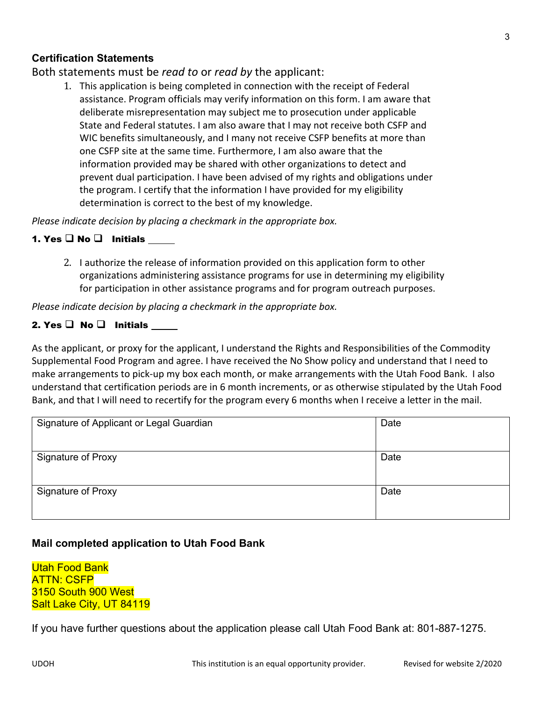### **Certification Statements**

Both statements must be *read to* or *read by* the applicant:

1. This application is being completed in connection with the receipt of Federal assistance. Program officials may verify information on this form. I am aware that deliberate misrepresentation may subject me to prosecution under applicable State and Federal statutes. I am also aware that I may not receive both CSFP and WIC benefits simultaneously, and I many not receive CSFP benefits at more than one CSFP site at the same time. Furthermore, I am also aware that the information provided may be shared with other organizations to detect and prevent dual participation. I have been advised of my rights and obligations under the program. I certify that the information I have provided for my eligibility determination is correct to the best of my knowledge.

*Please indicate decision by placing a checkmark in the appropriate box.*

#### 1. Yes  $\Box$  No  $\Box$  Initials

2. I authorize the release of information provided on this application form to other organizations administering assistance programs for use in determining my eligibility for participation in other assistance programs and for program outreach purposes.

*Please indicate decision by placing a checkmark in the appropriate box.* 

#### 2. Yes  $\Box$  No  $\Box$  Initials

As the applicant, or proxy for the applicant, I understand the Rights and Responsibilities of the Commodity Supplemental Food Program and agree. I have received the No Show policy and understand that I need to make arrangements to pick‐up my box each month, or make arrangements with the Utah Food Bank. I also understand that certification periods are in 6 month increments, or as otherwise stipulated by the Utah Food Bank, and that I will need to recertify for the program every 6 months when I receive a letter in the mail.

| Signature of Applicant or Legal Guardian | Date |
|------------------------------------------|------|
|                                          |      |
| <b>Signature of Proxy</b>                | Date |
|                                          |      |
| <b>Signature of Proxy</b>                | Date |
|                                          |      |

### **Mail completed application to Utah Food Bank**

Utah Food Bank ATTN: CSFP 3150 South 900 West Salt Lake City, UT 84119

If you have further questions about the application please call Utah Food Bank at: 801-887-1275.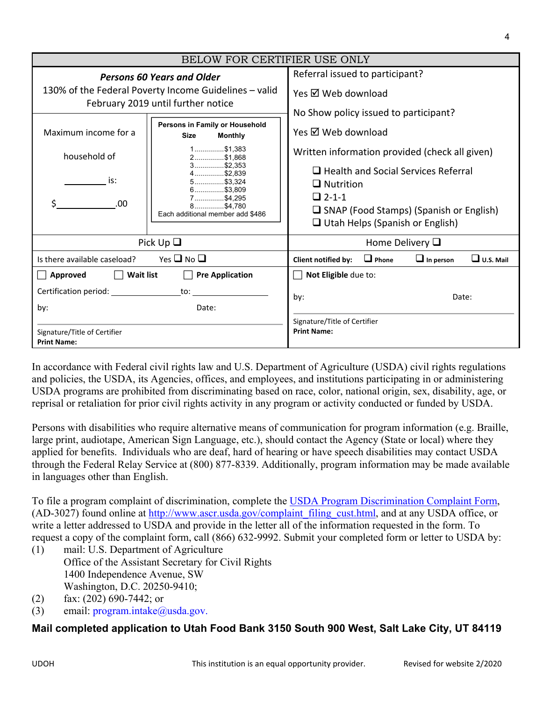| BELOW FOR CERTIFIER USE ONLY                                                                                                     |                                                                                                                                                                                                                 |                                                                                                                                                                                                                                                                                             |                  |                  |  |
|----------------------------------------------------------------------------------------------------------------------------------|-----------------------------------------------------------------------------------------------------------------------------------------------------------------------------------------------------------------|---------------------------------------------------------------------------------------------------------------------------------------------------------------------------------------------------------------------------------------------------------------------------------------------|------------------|------------------|--|
| <b>Persons 60 Years and Older</b><br>130% of the Federal Poverty Income Guidelines - valid<br>February 2019 until further notice |                                                                                                                                                                                                                 | Referral issued to participant?<br>Yes Ø Web download                                                                                                                                                                                                                                       |                  |                  |  |
| Maximum income for a<br>household of<br>is:<br>.00                                                                               | Persons in Family or Household<br><b>Size</b><br><b>Monthly</b><br>$1$ \$1.383<br>2\$1,868<br>$3$ \$2,353<br>$4$ \$2.839<br>$5$ \$3.324<br>6\$3,809<br>7\$4,295<br>8\$4.780<br>Each additional member add \$486 | No Show policy issued to participant?<br>Yes Ø Web download<br>Written information provided (check all given)<br>$\Box$ Health and Social Services Referral<br>$\Box$ Nutrition<br>$\Box$ 2-1-1<br>$\Box$ SNAP (Food Stamps) (Spanish or English)<br>$\Box$ Utah Helps (Spanish or English) |                  |                  |  |
| Pick $Up \square$                                                                                                                |                                                                                                                                                                                                                 | Home Delivery $\Box$                                                                                                                                                                                                                                                                        |                  |                  |  |
| Yes $\Box$ No $\Box$<br>Is there available caseload?                                                                             |                                                                                                                                                                                                                 | $\Box$ Phone<br><b>Client notified by:</b>                                                                                                                                                                                                                                                  | $\Box$ In person | $\Box$ U.S. Mail |  |
| Approved<br><b>Wait list</b><br>by:<br>Signature/Title of Certifier<br><b>Print Name:</b>                                        | <b>Pre Application</b><br>to:<br>Date:                                                                                                                                                                          | Not Eligible due to:<br>by:<br>Signature/Title of Certifier<br><b>Print Name:</b>                                                                                                                                                                                                           | Date:            |                  |  |

In accordance with Federal civil rights law and U.S. Department of Agriculture (USDA) civil rights regulations and policies, the USDA, its Agencies, offices, and employees, and institutions participating in or administering USDA programs are prohibited from discriminating based on race, color, national origin, sex, disability, age, or reprisal or retaliation for prior civil rights activity in any program or activity conducted or funded by USDA.

Persons with disabilities who require alternative means of communication for program information (e.g. Braille, large print, audiotape, American Sign Language, etc.), should contact the Agency (State or local) where they applied for benefits. Individuals who are deaf, hard of hearing or have speech disabilities may contact USDA through the Federal Relay Service at (800) 877-8339. Additionally, program information may be made available in languages other than English.

To file a program complaint of discrimination, complete the USDA Program Discrimination Complaint Form, (AD-3027) found online at http://www.ascr.usda.gov/complaint\_filing\_cust.html, and at any USDA office, or write a letter addressed to USDA and provide in the letter all of the information requested in the form. To request a copy of the complaint form, call (866) 632-9992. Submit your completed form or letter to USDA by:

- (1) mail: U.S. Department of Agriculture Office of the Assistant Secretary for Civil Rights 1400 Independence Avenue, SW Washington, D.C. 20250-9410;
- (2) fax: (202) 690-7442; or
- (3) email:  $program.intake@u sda.gov$ .

### **Mail completed application to Utah Food Bank 3150 South 900 West, Salt Lake City, UT 84119**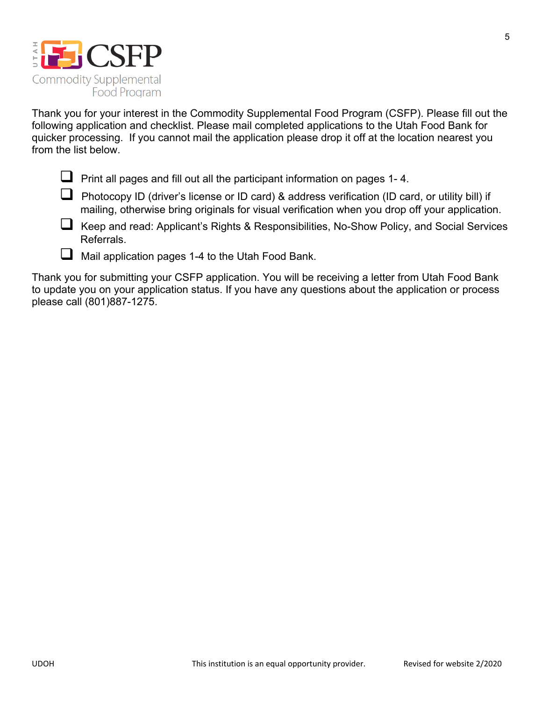

Thank you for your interest in the Commodity Supplemental Food Program (CSFP). Please fill out the following application and checklist. Please mail completed applications to the Utah Food Bank for quicker processing. If you cannot mail the application please drop it off at the location nearest you from the list below.

- **Print all pages and fill out all the participant information on pages 1-4.**
- Photocopy ID (driver's license or ID card) & address verification (ID card, or utility bill) if mailing, otherwise bring originals for visual verification when you drop off your application.
- Keep and read: Applicant's Rights & Responsibilities, No-Show Policy, and Social Services Referrals.
- $\Box$  Mail application pages 1-4 to the Utah Food Bank.

Thank you for submitting your CSFP application. You will be receiving a letter from Utah Food Bank to update you on your application status. If you have any questions about the application or process please call (801)887-1275.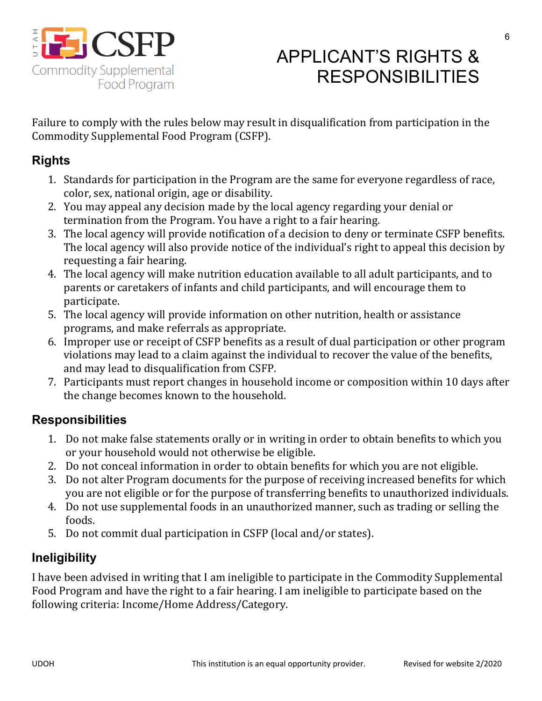

## APPLICANT'S RIGHTS & RESPONSIBILITIES

Failure to comply with the rules below may result in disqualification from participation in the Commodity Supplemental Food Program (CSFP).

### **Rights**

- 1. Standards for participation in the Program are the same for everyone regardless of race, color, sex, national origin, age or disability.
- 2. You may appeal any decision made by the local agency regarding your denial or termination from the Program. You have a right to a fair hearing.
- 3. The local agency will provide notification of a decision to deny or terminate CSFP benefits. The local agency will also provide notice of the individual's right to appeal this decision by requesting a fair hearing.
- 4. The local agency will make nutrition education available to all adult participants, and to parents or caretakers of infants and child participants, and will encourage them to participate.
- 5. The local agency will provide information on other nutrition, health or assistance programs, and make referrals as appropriate.
- 6. Improper use or receipt of CSFP benefits as a result of dual participation or other program violations may lead to a claim against the individual to recover the value of the benefits, and may lead to disqualification from CSFP.
- 7. Participants must report changes in household income or composition within 10 days after the change becomes known to the household.

## **Responsibilities**

- 1. Do not make false statements orally or in writing in order to obtain benefits to which you or your household would not otherwise be eligible.
- 2. Do not conceal information in order to obtain benefits for which you are not eligible.
- 3. Do not alter Program documents for the purpose of receiving increased benefits for which you are not eligible or for the purpose of transferring benefits to unauthorized individuals.
- 4. Do not use supplemental foods in an unauthorized manner, such as trading or selling the foods.
- 5. Do not commit dual participation in CSFP (local and/or states).

## **Ineligibility**

I have been advised in writing that I am ineligible to participate in the Commodity Supplemental Food Program and have the right to a fair hearing. I am ineligible to participate based on the following criteria: Income/Home Address/Category.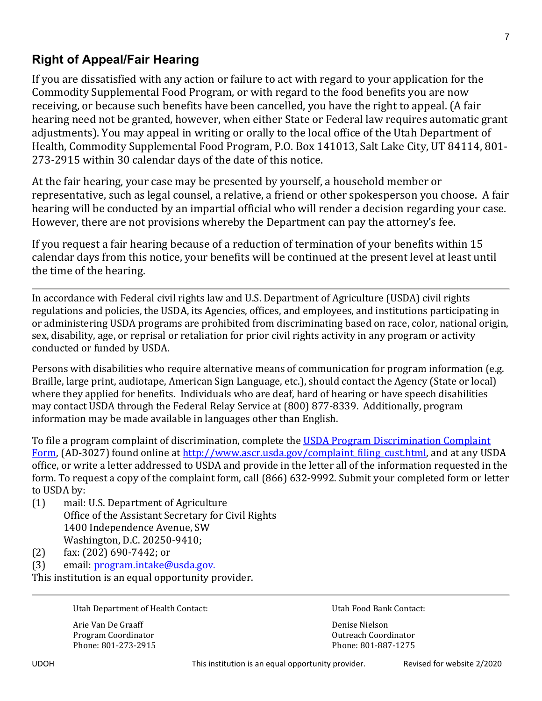### **Right of Appeal/Fair Hearing**

If you are dissatisfied with any action or failure to act with regard to your application for the Commodity Supplemental Food Program, or with regard to the food benefits you are now receiving, or because such benefits have been cancelled, you have the right to appeal. (A fair hearing need not be granted, however, when either State or Federal law requires automatic grant adjustments). You may appeal in writing or orally to the local office of the Utah Department of Health, Commodity Supplemental Food Program, P.O. Box 141013, Salt Lake City, UT 84114, 801- 273-2915 within 30 calendar days of the date of this notice.

At the fair hearing, your case may be presented by yourself, a household member or representative, such as legal counsel, a relative, a friend or other spokesperson you choose. A fair hearing will be conducted by an impartial official who will render a decision regarding your case. However, there are not provisions whereby the Department can pay the attorney's fee.

If you request a fair hearing because of a reduction of termination of your benefits within 15 calendar days from this notice, your benefits will be continued at the present level at least until the time of the hearing.

In accordance with Federal civil rights law and U.S. Department of Agriculture (USDA) civil rights regulations and policies, the USDA, its Agencies, offices, and employees, and institutions participating in or administering USDA programs are prohibited from discriminating based on race, color, national origin, sex, disability, age, or reprisal or retaliation for prior civil rights activity in any program or activity conducted or funded by USDA.

Persons with disabilities who require alternative means of communication for program information (e.g. Braille, large print, audiotape, American Sign Language, etc.), should contact the Agency (State or local) where they applied for benefits. Individuals who are deaf, hard of hearing or have speech disabilities may contact USDA through the Federal Relay Service at (800) 877-8339. Additionally, program information may be made available in languages other than English.

To file a program complaint of discrimination, complete the USDA Program Discrimination Complaint Form, (AD-3027) found online at http://www.ascr.usda.gov/complaint\_filing\_cust.html, and at any USDA office, or write a letter addressed to USDA and provide in the letter all of the information requested in the form. To request a copy of the complaint form, call (866) 632-9992. Submit your completed form or letter to USDA by:

- (1) mail: U.S. Department of Agriculture Office of the Assistant Secretary for Civil Rights 1400 Independence Avenue, SW Washington, D.C. 20250-9410;
- (2) fax: (202) 690-7442; or
- (3) email: program.intake@usda.gov.

This institution is an equal opportunity provider.

Utah Department of Health Contact: Utah Food Bank Contact:

Arie Van De Graaff Denise Nielson Program Coordinator **Coordinator** Coordinator **Outreach Coordinator** Outreach Coordinator Phone: 801-273-2915 Phone: 801-887-1275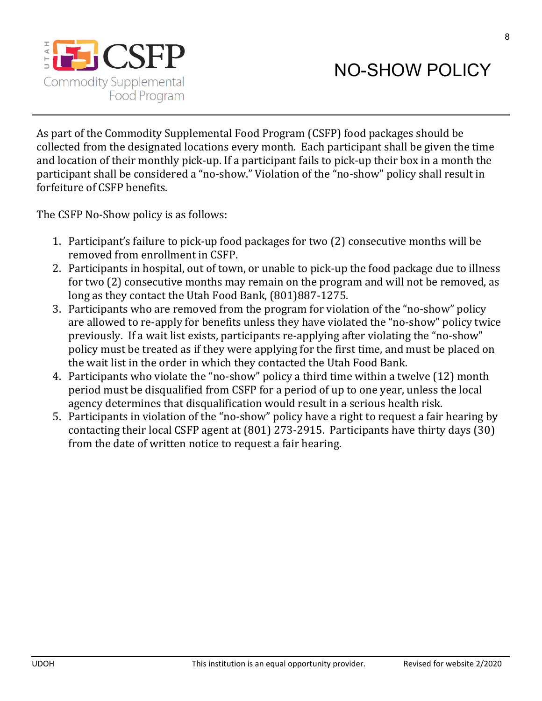

8

As part of the Commodity Supplemental Food Program (CSFP) food packages should be collected from the designated locations every month. Each participant shall be given the time and location of their monthly pick-up. If a participant fails to pick-up their box in a month the participant shall be considered a "no-show." Violation of the "no-show" policy shall result in forfeiture of CSFP benefits.

The CSFP No-Show policy is as follows:

- 1. Participant's failure to pick-up food packages for two (2) consecutive months will be removed from enrollment in CSFP.
- 2. Participants in hospital, out of town, or unable to pick-up the food package due to illness for two (2) consecutive months may remain on the program and will not be removed, as long as they contact the Utah Food Bank, (801)887-1275.
- 3. Participants who are removed from the program for violation of the "no-show" policy are allowed to re-apply for benefits unless they have violated the "no-show" policy twice previously. If a wait list exists, participants re-applying after violating the "no-show" policy must be treated as if they were applying for the first time, and must be placed on the wait list in the order in which they contacted the Utah Food Bank.
- 4. Participants who violate the "no-show" policy a third time within a twelve (12) month period must be disqualified from CSFP for a period of up to one year, unless the local agency determines that disqualification would result in a serious health risk.
- 5. Participants in violation of the "no-show" policy have a right to request a fair hearing by contacting their local CSFP agent at (801) 273-2915. Participants have thirty days (30) from the date of written notice to request a fair hearing.